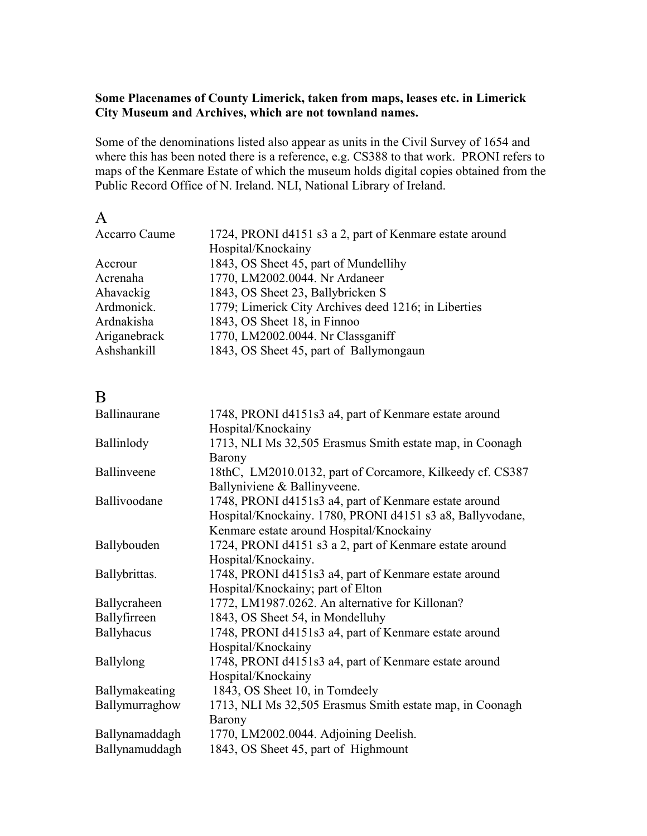### **Some Placenames of County Limerick, taken from maps, leases etc. in Limerick City Museum and Archives, which are not townland names.**

Some of the denominations listed also appear as units in the Civil Survey of 1654 and where this has been noted there is a reference, e.g. CS388 to that work. PRONI refers to maps of the Kenmare Estate of which the museum holds digital copies obtained from the Public Record Office of N. Ireland. NLI, National Library of Ireland.

| ×, |  |
|----|--|

| Accarro Caume | 1724, PRONI d4151 s3 a 2, part of Kenmare estate around |
|---------------|---------------------------------------------------------|
|               | Hospital/Knockainy                                      |
| Accrour       | 1843, OS Sheet 45, part of Mundellihy                   |
| Acrenaha      | 1770, LM2002.0044. Nr Ardaneer                          |
| Ahavackig     | 1843, OS Sheet 23, Ballybricken S                       |
| Ardmonick.    | 1779; Limerick City Archives deed 1216; in Liberties    |
| Ardnakisha    | 1843, OS Sheet 18, in Finnoo                            |
| Ariganebrack  | 1770, LM2002.0044. Nr Classganiff                       |
| Ashshankill   | 1843, OS Sheet 45, part of Ballymongaun                 |

### B

| 1748, PRONI d4151s3 a4, part of Kenmare estate around     |
|-----------------------------------------------------------|
| Hospital/Knockainy                                        |
| 1713, NLI Ms 32,505 Erasmus Smith estate map, in Coonagh  |
| Barony                                                    |
| 18thC, LM2010.0132, part of Corcamore, Kilkeedy cf. CS387 |
| Ballyniviene & Ballinyveene.                              |
| 1748, PRONI d4151s3 a4, part of Kenmare estate around     |
| Hospital/Knockainy. 1780, PRONI d4151 s3 a8, Ballyvodane, |
| Kenmare estate around Hospital/Knockainy                  |
| 1724, PRONI d4151 s3 a 2, part of Kenmare estate around   |
| Hospital/Knockainy.                                       |
| 1748, PRONI d4151s3 a4, part of Kenmare estate around     |
| Hospital/Knockainy; part of Elton                         |
| 1772, LM1987.0262. An alternative for Killonan?           |
| 1843, OS Sheet 54, in Mondelluhy                          |
| 1748, PRONI d4151s3 a4, part of Kenmare estate around     |
| Hospital/Knockainy                                        |
| 1748, PRONI d4151s3 a4, part of Kenmare estate around     |
| Hospital/Knockainy                                        |
| 1843, OS Sheet 10, in Tomdeely                            |
| 1713, NLI Ms 32,505 Erasmus Smith estate map, in Coonagh  |
| Barony                                                    |
| 1770, LM2002.0044. Adjoining Deelish.                     |
| 1843, OS Sheet 45, part of Highmount                      |
|                                                           |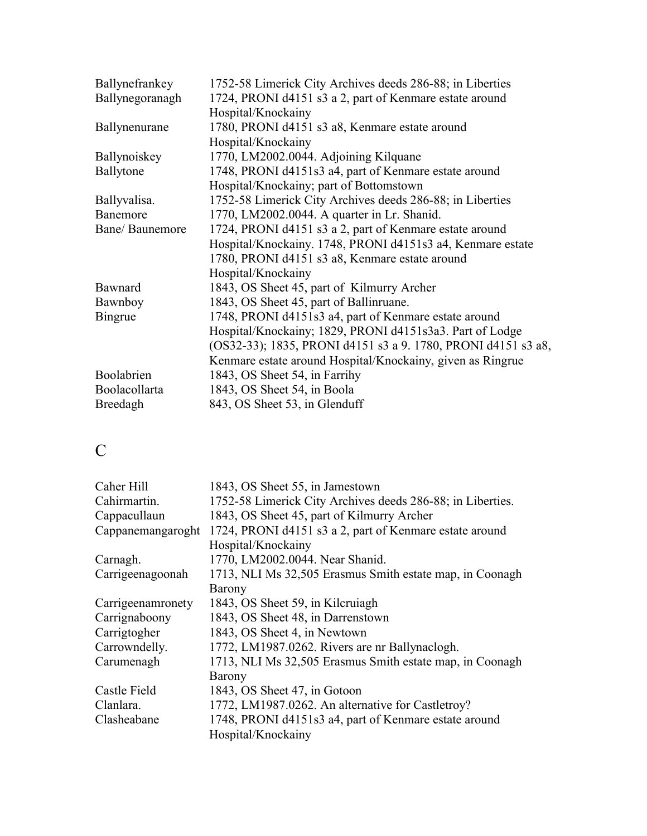| Ballynefrankey       | 1752-58 Limerick City Archives deeds 286-88; in Liberties                     |
|----------------------|-------------------------------------------------------------------------------|
| Ballynegoranagh      | 1724, PRONI d4151 s3 a 2, part of Kenmare estate around<br>Hospital/Knockainy |
| Ballynenurane        | 1780, PRONI d4151 s3 a8, Kenmare estate around                                |
|                      | Hospital/Knockainy                                                            |
| Ballynoiskey         | 1770, LM2002.0044. Adjoining Kilquane                                         |
| Ballytone            | 1748, PRONI d4151s3 a4, part of Kenmare estate around                         |
|                      | Hospital/Knockainy; part of Bottomstown                                       |
| Ballyvalisa.         | 1752-58 Limerick City Archives deeds 286-88; in Liberties                     |
| Banemore             | 1770, LM2002.0044. A quarter in Lr. Shanid.                                   |
| Bane/ Baunemore      | 1724, PRONI d4151 s3 a 2, part of Kenmare estate around                       |
|                      | Hospital/Knockainy. 1748, PRONI d4151s3 a4, Kenmare estate                    |
|                      | 1780, PRONI d4151 s3 a8, Kenmare estate around                                |
|                      | Hospital/Knockainy                                                            |
| Bawnard              | 1843, OS Sheet 45, part of Kilmurry Archer                                    |
| Bawnboy              | 1843, OS Sheet 45, part of Ballinruane.                                       |
| Bingrue              | 1748, PRONI d4151s3 a4, part of Kenmare estate around                         |
|                      | Hospital/Knockainy; 1829, PRONI d4151s3a3. Part of Lodge                      |
|                      | (OS32-33); 1835, PRONI d4151 s3 a 9. 1780, PRONI d4151 s3 a8,                 |
|                      | Kenmare estate around Hospital/Knockainy, given as Ringrue                    |
| Boolabrien           | 1843, OS Sheet 54, in Farrihy                                                 |
| <b>Boolacollarta</b> | 1843, OS Sheet 54, in Boola                                                   |
| Breedagh             | 843, OS Sheet 53, in Glenduff                                                 |
|                      |                                                                               |

# C

| Caher Hill        | 1843, OS Sheet 55, in Jamestown                            |
|-------------------|------------------------------------------------------------|
| Cahirmartin.      | 1752-58 Limerick City Archives deeds 286-88; in Liberties. |
| Cappacullaun      | 1843, OS Sheet 45, part of Kilmurry Archer                 |
| Cappanemangaroght | 1724, PRONI d4151 s3 a 2, part of Kenmare estate around    |
|                   | Hospital/Knockainy                                         |
| Carnagh.          | 1770, LM2002.0044. Near Shanid.                            |
| Carrigeenagoonah  | 1713, NLI Ms 32,505 Erasmus Smith estate map, in Coonagh   |
|                   | <b>Barony</b>                                              |
| Carrigeenamronety | 1843, OS Sheet 59, in Kilcruiagh                           |
| Carrignaboony     | 1843, OS Sheet 48, in Darrenstown                          |
| Carrigtogher      | 1843, OS Sheet 4, in Newtown                               |
| Carrowndelly.     | 1772, LM1987.0262. Rivers are nr Ballynaclogh.             |
| Carumenagh        | 1713, NLI Ms 32,505 Erasmus Smith estate map, in Coonagh   |
|                   | Barony                                                     |
| Castle Field      | 1843, OS Sheet 47, in Gotoon                               |
| Clanlara.         | 1772, LM1987.0262. An alternative for Castletroy?          |
| Clasheabane       | 1748, PRONI d4151s3 a4, part of Kenmare estate around      |
|                   | Hospital/Knockainy                                         |
|                   |                                                            |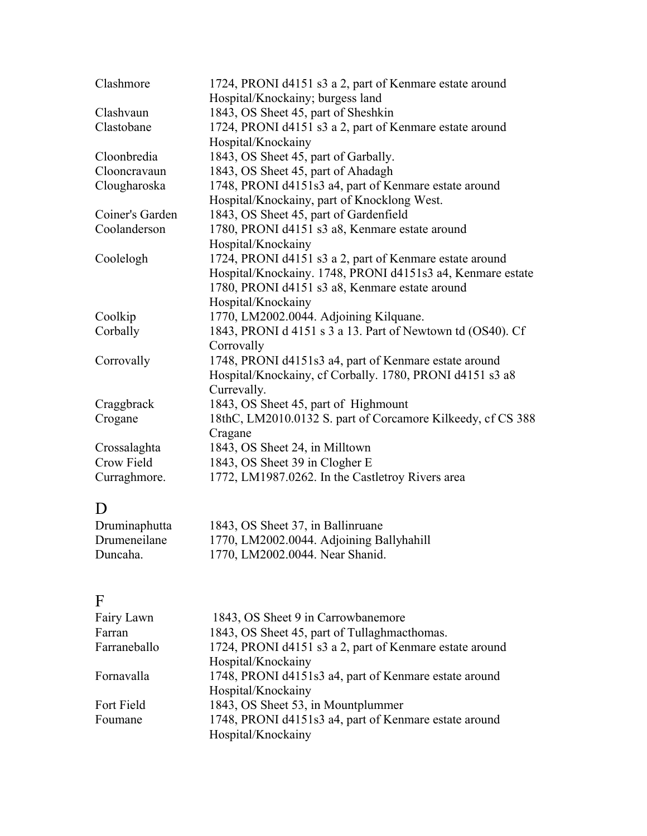| Clashmore       | 1724, PRONI d4151 s3 a 2, part of Kenmare estate around     |
|-----------------|-------------------------------------------------------------|
|                 | Hospital/Knockainy; burgess land                            |
| Clashvaun       | 1843, OS Sheet 45, part of Sheshkin                         |
| Clastobane      | 1724, PRONI d4151 s3 a 2, part of Kenmare estate around     |
|                 | Hospital/Knockainy                                          |
| Cloonbredia     | 1843, OS Sheet 45, part of Garbally.                        |
| Clooncravaun    | 1843, OS Sheet 45, part of Ahadagh                          |
| Clougharoska    | 1748, PRONI d4151s3 a4, part of Kenmare estate around       |
|                 | Hospital/Knockainy, part of Knocklong West.                 |
| Coiner's Garden | 1843, OS Sheet 45, part of Gardenfield                      |
| Coolanderson    | 1780, PRONI d4151 s3 a8, Kenmare estate around              |
|                 | Hospital/Knockainy                                          |
| Coolelogh       | 1724, PRONI d4151 s3 a 2, part of Kenmare estate around     |
|                 | Hospital/Knockainy. 1748, PRONI d4151s3 a4, Kenmare estate  |
|                 | 1780, PRONI d4151 s3 a8, Kenmare estate around              |
|                 | Hospital/Knockainy                                          |
| Coolkip         | 1770, LM2002.0044. Adjoining Kilquane.                      |
| Corbally        | 1843, PRONI d 4151 s 3 a 13. Part of Newtown td (OS40). Cf  |
|                 | Corrovally                                                  |
| Corrovally      | 1748, PRONI d4151s3 a4, part of Kenmare estate around       |
|                 | Hospital/Knockainy, cf Corbally. 1780, PRONI d4151 s3 a8    |
|                 | Currevally.                                                 |
| Craggbrack      | 1843, OS Sheet 45, part of Highmount                        |
| Crogane         | 18thC, LM2010.0132 S. part of Corcamore Kilkeedy, cf CS 388 |
|                 | Cragane                                                     |
| Crossalaghta    | 1843, OS Sheet 24, in Milltown                              |
| Crow Field      | 1843, OS Sheet 39 in Clogher E                              |
| Curraghmore.    | 1772, LM1987.0262. In the Castletroy Rivers area            |
| D               |                                                             |
| Druminaphutta   | 1843, OS Sheet 37, in Ballinruane                           |

| Druminaphutta | 1843, OS Sheet 37, in Ballinruane        |
|---------------|------------------------------------------|
| Drumeneilane  | 1770, LM2002.0044. Adjoining Ballyhahill |
| Duncaha.      | 1770, LM2002.0044. Near Shanid.          |

### F

| Fairy Lawn   | 1843, OS Sheet 9 in Carrowbanemore                      |
|--------------|---------------------------------------------------------|
| Farran       | 1843, OS Sheet 45, part of Tullaghmacthomas.            |
| Farraneballo | 1724, PRONI d4151 s3 a 2, part of Kenmare estate around |
|              | Hospital/Knockainy                                      |
| Fornavalla   | 1748, PRONI d4151s3 a4, part of Kenmare estate around   |
|              | Hospital/Knockainy                                      |
| Fort Field   | 1843, OS Sheet 53, in Mountplummer                      |
| Foumane      | 1748, PRONI d4151s3 a4, part of Kenmare estate around   |
|              | Hospital/Knockainy                                      |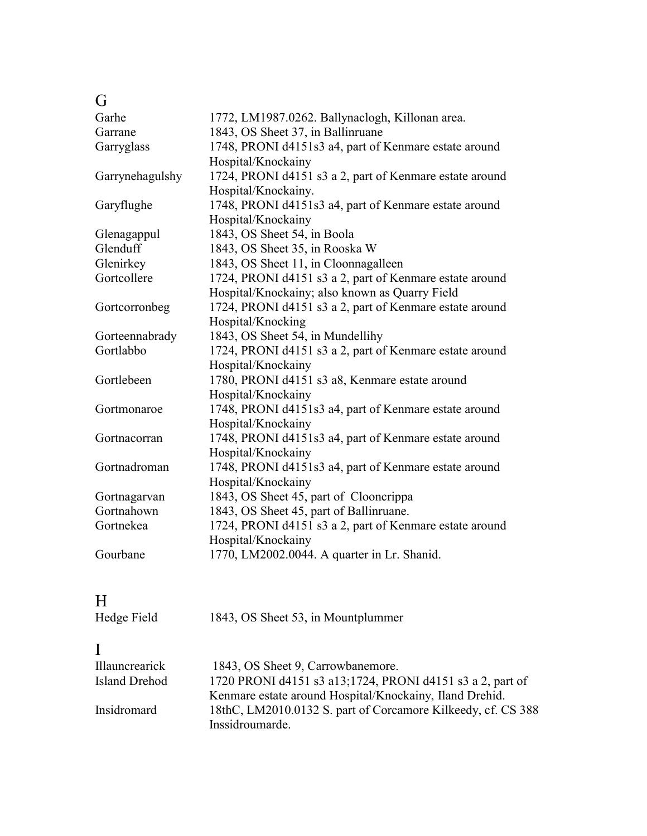### G

| Garhe           | 1772, LM1987.0262. Ballynaclogh, Killonan area.         |
|-----------------|---------------------------------------------------------|
| Garrane         | 1843, OS Sheet 37, in Ballinruane                       |
| Garryglass      | 1748, PRONI d4151s3 a4, part of Kenmare estate around   |
|                 | Hospital/Knockainy                                      |
| Garrynehagulshy | 1724, PRONI d4151 s3 a 2, part of Kenmare estate around |
|                 | Hospital/Knockainy.                                     |
| Garyflughe      | 1748, PRONI d4151s3 a4, part of Kenmare estate around   |
|                 | Hospital/Knockainy                                      |
| Glenagappul     | 1843, OS Sheet 54, in Boola                             |
| Glenduff        | 1843, OS Sheet 35, in Rooska W                          |
| Glenirkey       | 1843, OS Sheet 11, in Cloonnagalleen                    |
| Gortcollere     | 1724, PRONI d4151 s3 a 2, part of Kenmare estate around |
|                 | Hospital/Knockainy; also known as Quarry Field          |
| Gortcorronbeg   | 1724, PRONI d4151 s3 a 2, part of Kenmare estate around |
|                 | Hospital/Knocking                                       |
| Gorteennabrady  | 1843, OS Sheet 54, in Mundellihy                        |
| Gortlabbo       | 1724, PRONI d4151 s3 a 2, part of Kenmare estate around |
|                 | Hospital/Knockainy                                      |
| Gortlebeen      | 1780, PRONI d4151 s3 a8, Kenmare estate around          |
|                 | Hospital/Knockainy                                      |
| Gortmonaroe     | 1748, PRONI d4151s3 a4, part of Kenmare estate around   |
|                 | Hospital/Knockainy                                      |
| Gortnacorran    | 1748, PRONI d4151s3 a4, part of Kenmare estate around   |
|                 | Hospital/Knockainy                                      |
| Gortnadroman    | 1748, PRONI d4151s3 a4, part of Kenmare estate around   |
|                 | Hospital/Knockainy                                      |
| Gortnagarvan    | 1843, OS Sheet 45, part of Clooncrippa                  |
| Gortnahown      | 1843, OS Sheet 45, part of Ballinruane.                 |
| Gortnekea       | 1724, PRONI d4151 s3 a 2, part of Kenmare estate around |
|                 | Hospital/Knockainy                                      |
| Gourbane        | 1770, LM2002.0044. A quarter in Lr. Shanid.             |
|                 |                                                         |
|                 |                                                         |
| H               |                                                         |
| Hedge Field     | 1843, OS Sheet 53, in Mountplummer                      |

| <b>Illauncrearick</b> | 1843, OS Sheet 9, Carrowbanemore.                            |
|-----------------------|--------------------------------------------------------------|
| Island Drehod         | 1720 PRONI d4151 s3 a13;1724, PRONI d4151 s3 a 2, part of    |
|                       | Kenmare estate around Hospital/Knockainy, Iland Drehid.      |
| Insidromard           | 18thC, LM2010.0132 S. part of Corcamore Kilkeedy, cf. CS 388 |
|                       | Inssidroumarde.                                              |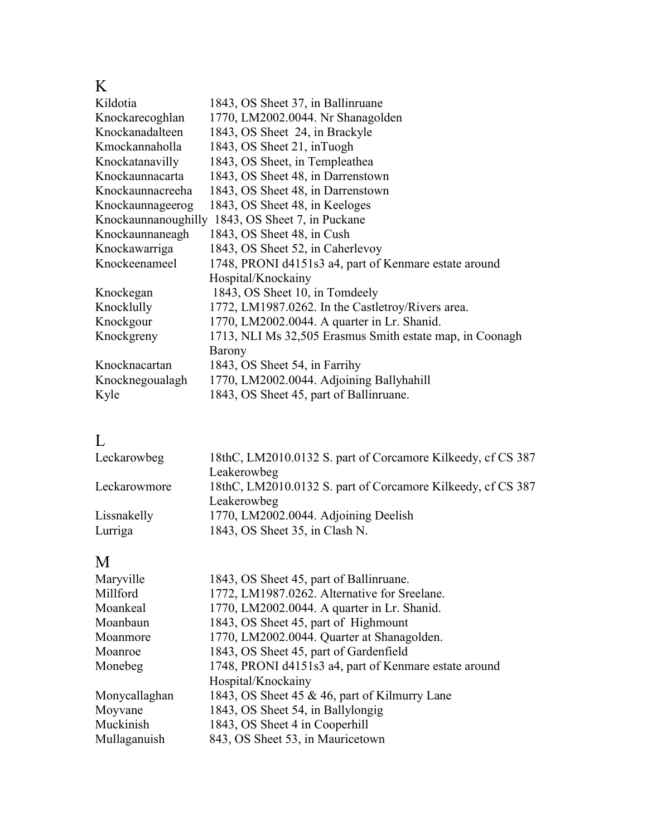### K

| Kildotia         | 1843, OS Sheet 37, in Ballinruane                        |
|------------------|----------------------------------------------------------|
| Knockarecoghlan  | 1770, LM2002.0044. Nr Shanagolden                        |
| Knockanadalteen  | 1843, OS Sheet 24, in Brackyle                           |
| Kmockannaholla   | 1843, OS Sheet 21, inTuogh                               |
| Knockatanavilly  | 1843, OS Sheet, in Templeathea                           |
| Knockaunnacarta  | 1843, OS Sheet 48, in Darrenstown                        |
| Knockaunnacreeha | 1843, OS Sheet 48, in Darrenstown                        |
| Knockaunnageerog | 1843, OS Sheet 48, in Keeloges                           |
|                  | Knockaunnanoughilly 1843, OS Sheet 7, in Puckane         |
| Knockaunnaneagh  | 1843, OS Sheet 48, in Cush                               |
| Knockawarriga    | 1843, OS Sheet 52, in Caherlevoy                         |
| Knockeenameel    | 1748, PRONI d4151s3 a4, part of Kenmare estate around    |
|                  | Hospital/Knockainy                                       |
| Knockegan        | 1843, OS Sheet 10, in Tomdeely                           |
| Knocklully       | 1772, LM1987.0262. In the Castletroy/Rivers area.        |
| Knockgour        | 1770, LM2002.0044. A quarter in Lr. Shanid.              |
| Knockgreny       | 1713, NLI Ms 32,505 Erasmus Smith estate map, in Coonagh |
|                  | Barony                                                   |
| Knocknacartan    | 1843, OS Sheet 54, in Farrihy                            |
| Knocknegoualagh  | 1770, LM2002.0044. Adjoining Ballyhahill                 |
| Kyle             | 1843, OS Sheet 45, part of Ballinruane.                  |

## L

| 18thC, LM2010.0132 S. part of Corcamore Kilkeedy, cf CS 387 |
|-------------------------------------------------------------|
| Leakerowbeg                                                 |
| 18thC, LM2010.0132 S. part of Corcamore Kilkeedy, cf CS 387 |
| Leakerowbeg                                                 |
| 1770, LM2002.0044. Adjoining Deelish                        |
| 1843, OS Sheet 35, in Clash N.                              |
|                                                             |

### M

| Maryville     | 1843, OS Sheet 45, part of Ballinruane.               |
|---------------|-------------------------------------------------------|
| Millford      | 1772, LM1987.0262. Alternative for Sreelane.          |
| Moankeal      | 1770, LM2002.0044. A quarter in Lr. Shanid.           |
| Moanbaun      | 1843, OS Sheet 45, part of Highmount                  |
| Moanmore      | 1770, LM2002.0044. Quarter at Shanagolden.            |
| Moanroe       | 1843, OS Sheet 45, part of Gardenfield                |
| Monebeg       | 1748, PRONI d4151s3 a4, part of Kenmare estate around |
|               | Hospital/Knockainy                                    |
| Monycallaghan | 1843, OS Sheet 45 & 46, part of Kilmurry Lane         |
| Moyvane       | 1843, OS Sheet 54, in Ballylongig                     |
| Muckinish     | 1843, OS Sheet 4 in Cooperhill                        |
| Mullaganuish  | 843, OS Sheet 53, in Mauricetown                      |
|               |                                                       |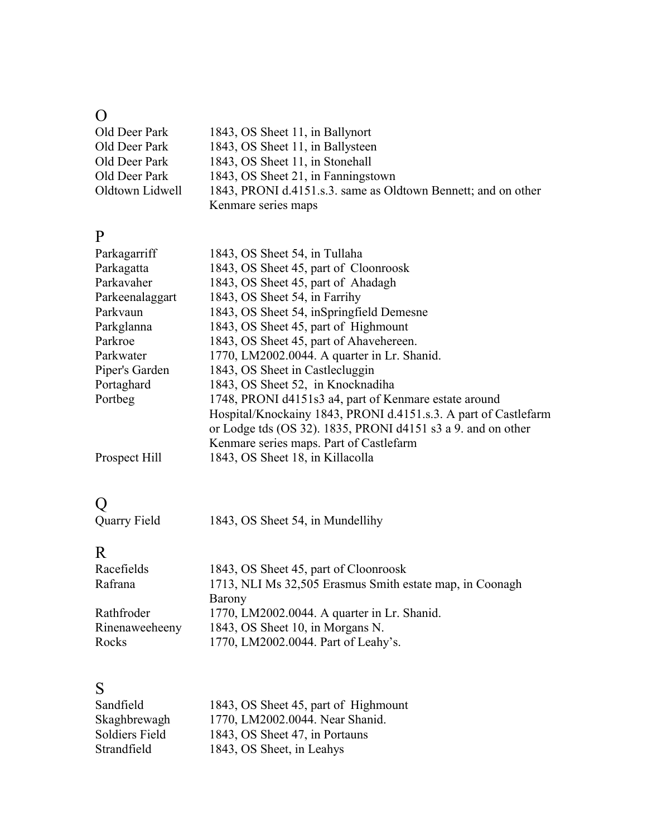### O

| Old Deer Park   | 1843, OS Sheet 11, in Ballynort                               |
|-----------------|---------------------------------------------------------------|
| Old Deer Park   | 1843, OS Sheet 11, in Ballysteen                              |
| Old Deer Park   | 1843, OS Sheet 11, in Stonehall                               |
| Old Deer Park   | 1843, OS Sheet 21, in Fanningstown                            |
| Oldtown Lidwell | 1843, PRONI d.4151.s.3. same as Oldtown Bennett; and on other |
|                 | Kenmare series maps                                           |

### P

| Parkagarriff    | 1843, OS Sheet 54, in Tullaha                                   |
|-----------------|-----------------------------------------------------------------|
| Parkagatta      | 1843, OS Sheet 45, part of Cloonroosk                           |
| Parkavaher      | 1843, OS Sheet 45, part of Ahadagh                              |
| Parkeenalaggart | 1843, OS Sheet 54, in Farrihy                                   |
| Parkvaun        | 1843, OS Sheet 54, inSpringfield Demesne                        |
| Parkglanna      | 1843, OS Sheet 45, part of Highmount                            |
| Parkroe         | 1843, OS Sheet 45, part of Ahavehereen.                         |
| Parkwater       | 1770, LM2002.0044. A quarter in Lr. Shanid.                     |
| Piper's Garden  | 1843, OS Sheet in Castle cluggin                                |
| Portaghard      | 1843, OS Sheet 52, in Knocknadiha                               |
| Portbeg         | 1748, PRONI d4151s3 a4, part of Kenmare estate around           |
|                 | Hospital/Knockainy 1843, PRONI d.4151.s.3. A part of Castlefarm |
|                 | or Lodge tds (OS 32). 1835, PRONI d4151 s3 a 9. and on other    |
|                 | Kenmare series maps. Part of Castlefarm                         |
| Prospect Hill   | 1843, OS Sheet 18, in Killacolla                                |

## Q

| $\checkmark$ |                                  |
|--------------|----------------------------------|
| Quarry Field | 1843, OS Sheet 54, in Mundellihy |

## R

| Racefields     | 1843, OS Sheet 45, part of Cloonroosk                    |
|----------------|----------------------------------------------------------|
| Rafrana        | 1713, NLI Ms 32,505 Erasmus Smith estate map, in Coonagh |
|                | Barony                                                   |
| Rathfroder     | 1770, LM2002.0044. A quarter in Lr. Shanid.              |
| Rinenaweeheeny | 1843, OS Sheet 10, in Morgans N.                         |
| Rocks          | 1770, LM2002.0044. Part of Leahy's.                      |

| S.                    |                                      |
|-----------------------|--------------------------------------|
| Sandfield             | 1843, OS Sheet 45, part of Highmount |
| Skaghbrewagh          | 1770, LM2002.0044. Near Shanid.      |
| <b>Soldiers Field</b> | 1843, OS Sheet 47, in Portauns       |
| Strandfield           | 1843, OS Sheet, in Leahys            |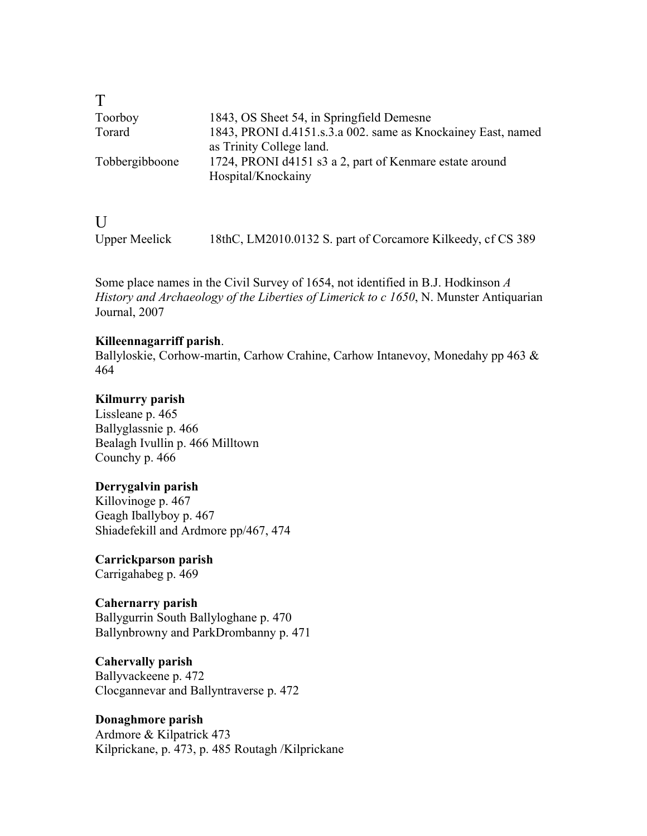| $\top$         |                                                              |
|----------------|--------------------------------------------------------------|
| Toorboy        | 1843, OS Sheet 54, in Springfield Demesne                    |
| Torard         | 1843, PRONI d.4151.s.3.a 002. same as Knockainey East, named |
|                | as Trinity College land.                                     |
| Tobbergibboone | 1724, PRONI d4151 s3 a 2, part of Kenmare estate around      |
|                | Hospital/Knockainy                                           |
|                |                                                              |

| $\overline{U}$       |                                                             |
|----------------------|-------------------------------------------------------------|
| <b>Upper Meelick</b> | 18thC, LM2010.0132 S. part of Corcamore Kilkeedy, cf CS 389 |

Some place names in the Civil Survey of 1654, not identified in B.J. Hodkinson *A History and Archaeology of the Liberties of Limerick to c 1650*, N. Munster Antiquarian Journal, 2007

#### **Killeennagarriff parish**.

Ballyloskie, Corhow-martin, Carhow Crahine, Carhow Intanevoy, Monedahy pp 463 & 464

#### **Kilmurry parish**

Lissleane p. 465 Ballyglassnie p. 466 Bealagh Ivullin p. 466 Milltown Counchy p. 466

#### **Derrygalvin parish**

Killovinoge p. 467 Geagh Iballyboy p. 467 Shiadefekill and Ardmore pp/467, 474

**Carrickparson parish** Carrigahabeg p. 469

#### **Cahernarry parish**

Ballygurrin South Ballyloghane p. 470 Ballynbrowny and ParkDrombanny p. 471

### **Cahervally parish**

Ballyvackeene p. 472 Clocgannevar and Ballyntraverse p. 472

#### **Donaghmore parish**

Ardmore & Kilpatrick 473 Kilprickane, p. 473, p. 485 Routagh /Kilprickane